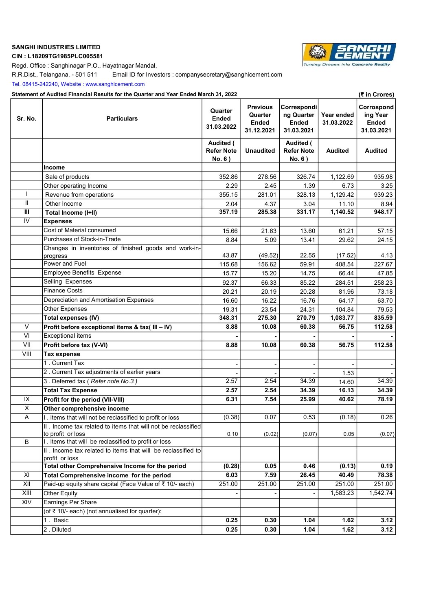# SANGHI INDUSTRIES LIMITED

# CIN : L18209TG1985PLC005581

**Turning Dreams into Concrete Re**  $_{\alpha}$ lit

Regd. Office : Sanghinagar P.O., Hayatnagar Mandal,

R.R.Dist., Telangana. - 501 511 Email ID for Investors : companysecretary@sanghicement.com

Tel. 08415-242240, Website : www.sanghicement.com

### Statement of Audited Financial Results for the Quarter and Year Ended March 31, 2022 (₹ in Crores)

| Sr. No.       | <b>Particulars</b>                                                              | Quarter<br>Ended<br>31.03.2022           | <b>Previous</b><br>Quarter<br><b>Ended</b><br>31.12.2021 | Correspondi<br>ng Quarter<br><b>Ended</b><br>31.03.2021 | Year ended<br>31.03.2022 | Corrospond<br>ing Year<br><b>Ended</b><br>31.03.2021 |
|---------------|---------------------------------------------------------------------------------|------------------------------------------|----------------------------------------------------------|---------------------------------------------------------|--------------------------|------------------------------------------------------|
|               |                                                                                 | Audited (<br><b>Refer Note</b><br>No. 6) | <b>Unaudited</b>                                         | Audited (<br><b>Refer Note</b><br>No. 6)                | <b>Audited</b>           | <b>Audited</b>                                       |
|               | Income                                                                          |                                          |                                                          |                                                         |                          |                                                      |
|               | Sale of products                                                                | 352.86                                   | 278.56                                                   | 326.74                                                  | 1,122.69                 | 935.98                                               |
|               | Other operating Income                                                          | 2.29                                     | 2.45                                                     | 1.39                                                    | 6.73                     | 3.25                                                 |
|               | Revenue from operations                                                         | 355.15                                   | 281.01                                                   | 328.13                                                  | 1,129.42                 | 939.23                                               |
| $\mathbf{II}$ | Other Income                                                                    | 2.04                                     | 4.37                                                     | 3.04                                                    | 11.10                    | 8.94                                                 |
| Ш             | Total Income (I+II)                                                             | 357.19                                   | 285.38                                                   | 331.17                                                  | 1,140.52                 | 948.17                                               |
| IV            | <b>Expenses</b>                                                                 |                                          |                                                          |                                                         |                          |                                                      |
|               | Cost of Material consumed                                                       | 15.66                                    | 21.63                                                    | 13.60                                                   | 61.21                    | 57.15                                                |
|               | Purchases of Stock-in-Trade                                                     | 8.84                                     | 5.09                                                     | 13.41                                                   | 29.62                    | 24.15                                                |
|               | Changes in inventories of finished goods and work-in-                           |                                          |                                                          |                                                         |                          |                                                      |
|               | progress                                                                        | 43.87                                    | (49.52)                                                  | 22.55                                                   | (17.52)                  | 4.13                                                 |
|               | Power and Fuel                                                                  | 115.68                                   | 156.62                                                   | 59.91                                                   | 408.54                   | 227.67                                               |
|               | <b>Employee Benefits Expense</b>                                                | 15.77                                    | 15.20                                                    | 14.75                                                   | 66.44                    | 47.85                                                |
|               | Selling Expenses                                                                | 92.37                                    | 66.33                                                    | 85.22                                                   | 284.51                   | 258.23                                               |
|               | <b>Finance Costs</b>                                                            | 20.21                                    | 20.19                                                    | 20.28                                                   | 81.96                    | 73.18                                                |
|               | Depreciation and Amortisation Expenses                                          | 16.60                                    | 16.22                                                    | 16.76                                                   | 64.17                    | 63.70                                                |
|               | <b>Other Expenses</b>                                                           | 19.31                                    | 23.54                                                    | 24.31                                                   | 104.84                   | 79.53                                                |
|               | <b>Total expenses (IV)</b>                                                      | 348.31                                   | 275.30                                                   | 270.79                                                  | 1,083.77                 | 835.59                                               |
| $\vee$        | Profit before exceptional items & tax( III - IV)                                | 8.88                                     | 10.08                                                    | 60.38                                                   | 56.75                    | 112.58                                               |
| VI            | Exceptional items                                                               |                                          |                                                          |                                                         |                          |                                                      |
| VII           | Profit before tax (V-VI)                                                        | 8.88                                     | 10.08                                                    | 60.38                                                   | 56.75                    | 112.58                                               |
| VIII          | <b>Tax expense</b>                                                              |                                          |                                                          |                                                         |                          |                                                      |
|               | 1. Current Tax                                                                  |                                          |                                                          |                                                         |                          |                                                      |
|               | 2. Current Tax adjustments of earlier years                                     |                                          |                                                          |                                                         | 1.53                     |                                                      |
|               | 3. Deferred tax (Refer note No.3)                                               | 2.57                                     | 2.54                                                     | 34.39                                                   | 14.60                    | 34.39                                                |
|               | <b>Total Tax Expense</b>                                                        | 2.57                                     | 2.54                                                     | 34.39                                                   | 16.13                    | 34.39                                                |
| IX            | Profit for the period (VII-VIII)                                                | 6.31                                     | 7.54                                                     | 25.99                                                   | 40.62                    | 78.19                                                |
| X             | Other comprehensive income                                                      |                                          |                                                          |                                                         |                          |                                                      |
| A             | I. Items that will not be reclassified to profit or loss                        | (0.38)                                   | 0.07                                                     | 0.53                                                    | (0.18)                   | 0.26                                                 |
|               | II . Income tax related to items that will not be reclassified                  |                                          |                                                          |                                                         |                          |                                                      |
|               | to profit or loss                                                               | 0.10                                     | (0.02)                                                   | (0.07)                                                  | 0.05                     | (0.07)                                               |
| B             | I. Items that will be reclassified to profit or loss                            |                                          |                                                          |                                                         |                          |                                                      |
|               | II . Income tax related to items that will be reclassified to<br>profit or loss |                                          |                                                          |                                                         |                          |                                                      |
|               | Total other Comprehensive Income for the period                                 | (0.28)                                   | 0.05                                                     | 0.46                                                    | (0.13)                   | 0.19                                                 |
| XI            | Total Comprehensive income for the period                                       | 6.03                                     | 7.59                                                     | 26.45                                                   | 40.49                    | 78.38                                                |
| XII           | Paid-up equity share capital (Face Value of ₹ 10/- each)                        | 251.00                                   | 251.00                                                   | 251.00                                                  | 251.00                   | 251.00                                               |
| XIII          | Other Equity                                                                    |                                          |                                                          |                                                         | 1,583.23                 | 1,542.74                                             |
| XIV           | Earnings Per Share                                                              |                                          |                                                          |                                                         |                          |                                                      |
|               | (of ₹ 10/- each) (not annualised for quarter):                                  |                                          |                                                          |                                                         |                          |                                                      |
|               | 1. Basic                                                                        | 0.25                                     | 0.30                                                     | 1.04                                                    | 1.62                     | 3.12                                                 |
|               | 2. Diluted                                                                      | 0.25                                     | 0.30                                                     | 1.04                                                    | 1.62                     | 3.12                                                 |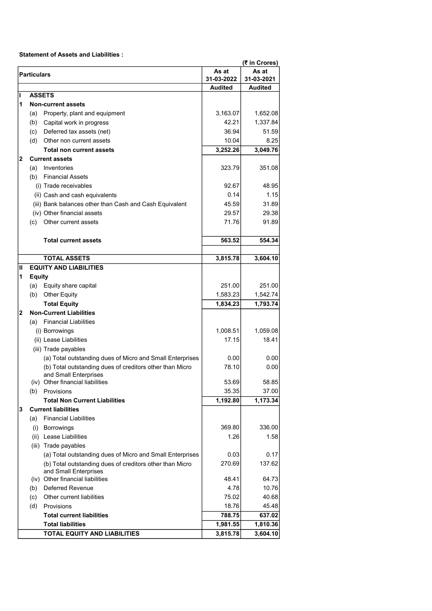Statement of Assets and Liabilities :

|                |                    |                                                                                   |                     | (₹ in Crores)       |
|----------------|--------------------|-----------------------------------------------------------------------------------|---------------------|---------------------|
|                | <b>Particulars</b> |                                                                                   | As at<br>31-03-2022 | As at<br>31-03-2021 |
|                |                    |                                                                                   | <b>Audited</b>      | <b>Audited</b>      |
| ı              |                    | <b>ASSETS</b>                                                                     |                     |                     |
| 1              |                    | <b>Non-current assets</b>                                                         |                     |                     |
|                | (a)                | Property, plant and equipment                                                     | 3,163.07            | 1,652.08            |
|                | (b)                | Capital work in progress                                                          | 42.21               | 1,337.84            |
|                | (c)                | Deferred tax assets (net)                                                         | 36.94               | 51.59               |
|                | (d)                | Other non current assets                                                          | 10.04               | 8.25                |
|                |                    | <b>Total non current assets</b>                                                   | 3,252.26            | 3,049.76            |
| $\overline{2}$ |                    | <b>Current assets</b>                                                             |                     |                     |
|                |                    | (a) Inventories                                                                   | 323.79              | 351.08              |
|                |                    | (b) Financial Assets                                                              |                     |                     |
|                |                    | (i) Trade receivables                                                             | 92.67               | 48.95               |
|                |                    | (ii) Cash and cash equivalents                                                    | 0.14                | 1.15                |
|                |                    | (iii) Bank balances other than Cash and Cash Equivalent                           | 45.59               | 31.89               |
|                |                    | (iv) Other financial assets                                                       | 29.57               | 29.38               |
|                | (c)                | Other current assets                                                              | 71.76               | 91.89               |
|                |                    | <b>Total current assets</b>                                                       | 563.52              | 554.34              |
|                |                    |                                                                                   |                     |                     |
|                |                    | <b>TOTAL ASSETS</b>                                                               | 3,815.78            | 3,604.10            |
| Ш              |                    | <b>EQUITY AND LIABILITIES</b>                                                     |                     |                     |
| 1              | <b>Equity</b>      |                                                                                   |                     |                     |
|                |                    | (a) Equity share capital                                                          | 251.00              | 251.00              |
|                |                    | (b) Other Equity                                                                  | 1,583.23            | 1,542.74            |
|                |                    | <b>Total Equity</b>                                                               | 1,834.23            | 1,793.74            |
| 2              |                    | <b>Non-Current Liabilities</b>                                                    |                     |                     |
|                | (a)                | <b>Financial Liabilities</b>                                                      |                     |                     |
|                |                    | (i) Borrowings                                                                    | 1,008.51            | 1,059.08            |
|                |                    | (ii) Lease Liabilities                                                            | 17.15               | 18.41               |
|                |                    | (iii) Trade payables                                                              |                     |                     |
|                |                    | (a) Total outstanding dues of Micro and Small Enterprises                         | 0.00                | 0.00                |
|                |                    | (b) Total outstanding dues of creditors other than Micro                          | 78.10               | 0.00                |
|                |                    | and Small Enterprises                                                             |                     |                     |
|                |                    | (iv) Other financial liabilities                                                  | 53.69               | 58.85               |
|                | (b)                | Provisions                                                                        | 35.35               | 37.00               |
|                |                    | <b>Total Non Current Liabilities</b>                                              | 1,192.80            | 1,173.34            |
| 3              |                    | <b>Current liabilities</b>                                                        |                     |                     |
|                | (a)                | <b>Financial Liabilities</b>                                                      |                     |                     |
|                |                    | (i) Borrowings                                                                    | 369.80              | 336.00              |
|                |                    | (ii) Lease Liabilities                                                            | 1.26                | 1.58                |
|                |                    | (iii) Trade payables                                                              |                     |                     |
|                |                    | (a) Total outstanding dues of Micro and Small Enterprises                         | 0.03                | 0.17                |
|                |                    | (b) Total outstanding dues of creditors other than Micro<br>and Small Enterprises | 270.69              | 137.62              |
|                |                    | (iv) Other financial liabilities                                                  | 48.41               | 64.73               |
|                | (b)                | <b>Deferred Revenue</b>                                                           | 4.78                | 10.76               |
|                | (c)                | Other current liabilities                                                         | 75.02               | 40.68               |
|                | (d)                | Provisions                                                                        | 18.76               | 45.48               |
|                |                    | <b>Total current liabilities</b>                                                  | 788.75              | 637.02              |
|                |                    | <b>Total liabilities</b>                                                          | 1,981.55            | 1,810.36            |
|                |                    | TOTAL EQUITY AND LIABILITIES                                                      | 3,815.78            | 3,604.10            |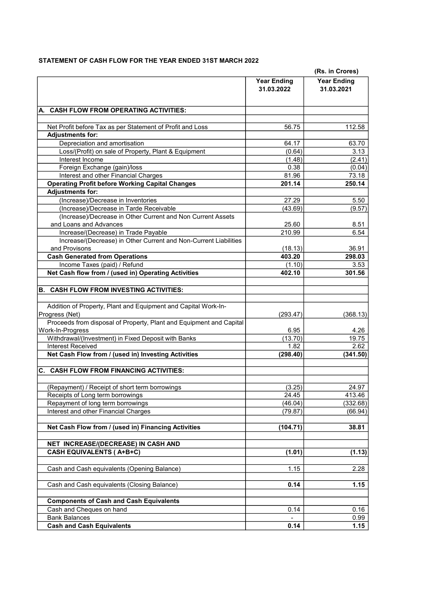# STATEMENT OF CASH FLOW FOR THE YEAR ENDED 31ST MARCH 2022

|                                                                                         | (Rs. in Crores)                  |                                  |  |
|-----------------------------------------------------------------------------------------|----------------------------------|----------------------------------|--|
|                                                                                         | <b>Year Ending</b><br>31.03.2022 | <b>Year Ending</b><br>31.03.2021 |  |
| <b>CASH FLOW FROM OPERATING ACTIVITIES:</b><br>А.                                       |                                  |                                  |  |
|                                                                                         |                                  |                                  |  |
| Net Profit before Tax as per Statement of Profit and Loss<br><b>Adjustments for:</b>    | 56.75                            | 112.58                           |  |
| Depreciation and amortisation                                                           | 64.17                            | 63.70                            |  |
| Loss/(Profit) on sale of Property, Plant & Equipment                                    | (0.64)                           | 3.13                             |  |
| Interest Income                                                                         | (1.48)                           | (2.41)                           |  |
| Foreign Exchange (gain)/loss                                                            | 0.38                             | (0.04)                           |  |
| Interest and other Financial Charges                                                    | 81.96                            | 73.18                            |  |
| <b>Operating Profit before Working Capital Changes</b>                                  | 201.14                           | 250.14                           |  |
| <b>Adjustments for:</b>                                                                 |                                  |                                  |  |
| (Increase)/Decrease in Inventories                                                      | 27.29                            | 5.50                             |  |
| (Increase)/Decrease in Tarde Receivable                                                 | (43.69)                          | (9.57)                           |  |
| (Increase)/Decrease in Other Current and Non Current Assets                             |                                  |                                  |  |
| and Loans and Advances                                                                  | 25.60                            | 8.51                             |  |
| Increase/(Decrease) in Trade Payable                                                    | 210.99                           | 6.54                             |  |
| Increase/(Decrease) in Other Current and Non-Current Liabilities                        |                                  |                                  |  |
| and Provisons                                                                           | (18.13)                          | 36.91                            |  |
| <b>Cash Generated from Operations</b>                                                   | 403.20                           | 298.03                           |  |
| Income Taxes (paid) / Refund                                                            | (1.10)                           | 3.53                             |  |
| Net Cash flow from / (used in) Operating Activities                                     | 402.10                           | 301.56                           |  |
| <b>B. CASH FLOW FROM INVESTING ACTIVITIES:</b>                                          |                                  |                                  |  |
| Addition of Property, Plant and Equipment and Capital Work-In-<br>Progress (Net)        | (293.47)                         | (368.13)                         |  |
| Proceeds from disposal of Property, Plant and Equipment and Capital<br>Work-In-Progress | 6.95                             | 4.26                             |  |
| Withdrawal/(Investment) in Fixed Deposit with Banks                                     | (13.70)                          | 19.75                            |  |
| <b>Interest Received</b>                                                                | 1.82                             | 2.62                             |  |
| Net Cash Flow from / (used in) Investing Activities                                     | (298.40)                         | (341.50)                         |  |
| C. CASH FLOW FROM FINANCING ACTIVITIES:                                                 |                                  |                                  |  |
|                                                                                         |                                  |                                  |  |
| (Repayment) / Receipt of short term borrowings                                          | (3.25)                           | 24.97                            |  |
| Receipts of Long term borrowings                                                        | 24.45                            | 413.46                           |  |
| Repayment of long term borrowings<br>Interest and other Financial Charges               | (46.04)<br>(79.87)               | (332.68)<br>(66.94)              |  |
|                                                                                         |                                  |                                  |  |
| Net Cash Flow from / (used in) Financing Activities                                     | (104.71)                         | 38.81                            |  |
| NET INCREASE/(DECREASE) IN CASH AND                                                     |                                  |                                  |  |
| <b>CASH EQUIVALENTS (A+B+C)</b>                                                         | (1.01)                           | (1.13)                           |  |
| Cash and Cash equivalents (Opening Balance)                                             |                                  | 2.28                             |  |
|                                                                                         | 1.15                             |                                  |  |
| Cash and Cash equivalents (Closing Balance)                                             | 0.14                             | 1.15                             |  |
| <b>Components of Cash and Cash Equivalents</b>                                          |                                  |                                  |  |
| Cash and Cheques on hand                                                                | 0.14                             | 0.16                             |  |
| <b>Bank Balances</b>                                                                    |                                  | 0.99                             |  |
| <b>Cash and Cash Equivalents</b>                                                        | 0.14                             | 1.15                             |  |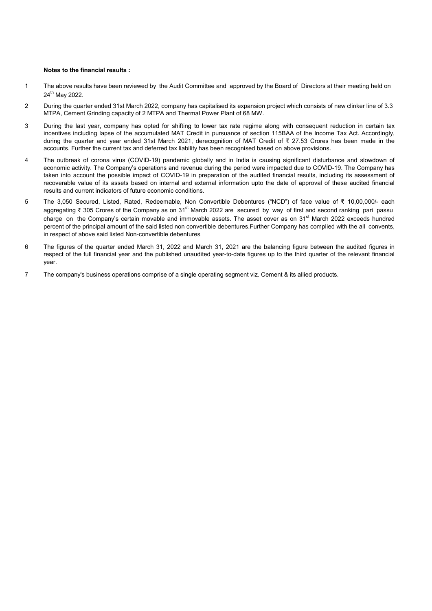#### Notes to the financial results :

- 1 The above results have been reviewed by the Audit Committee and approved by the Board of Directors at their meeting held on 24th May 2022.
- 2 During the quarter ended 31st March 2022, company has capitalised its expansion project which consists of new clinker line of 3.3 MTPA, Cement Grinding capacity of 2 MTPA and Thermal Power Plant of 68 MW.
- 3 During the last year, company has opted for shifting to lower tax rate regime along with consequent reduction in certain tax incentives including lapse of the accumulated MAT Credit in pursuance of section 115BAA of the Income Tax Act. Accordingly, during the quarter and year ended 31st March 2021, derecognition of MAT Credit of ₹ 27.53 Crores has been made in the accounts. Further the current tax and deferred tax liability has been recognised based on above provisions.
- 4 The outbreak of corona virus (COVID-19) pandemic globally and in India is causing significant disturbance and slowdown of economic activity. The Company's operations and revenue during the period were impacted due to COVID-19. The Company has taken into account the possible impact of COVID-19 in preparation of the audited financial results, including its assessment of recoverable value of its assets based on internal and external information upto the date of approval of these audited financial results and current indicators of future economic conditions.
- 5 The 3,050 Secured, Listed, Rated, Redeemable, Non Convertible Debentures ("NCD") of face value of ₹ 10,00,000/- each aggregating ₹ 305 Crores of the Company as on 31<sup>st</sup> March 2022 are secured by way of first and second ranking pari passu charge on the Company's certain movable and immovable assets. The asset cover as on  $31<sup>st</sup>$  March 2022 exceeds hundred percent of the principal amount of the said listed non convertible debentures.Further Company has complied with the all convents, in respect of above said listed Non-convertible debentures
- 6 The figures of the quarter ended March 31, 2022 and March 31, 2021 are the balancing figure between the audited figures in respect of the full financial year and the published unaudited year-to-date figures up to the third quarter of the relevant financial year.
- 7 The company's business operations comprise of a single operating segment viz. Cement & its allied products.